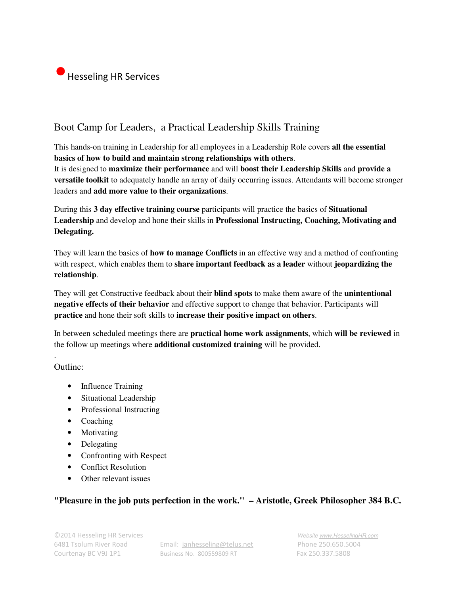

## Boot Camp for Leaders, a Practical Leadership Skills Training

This hands-on training in Leadership for all employees in a Leadership Role covers **all the essential basics of how to build and maintain strong relationships with others**. It is designed to **maximize their performance** and will **boost their Leadership Skills** and **provide a versatile toolkit** to adequately handle an array of daily occurring issues. Attendants will become stronger leaders and **add more value to their organizations**.

During this **3 day effective training course** participants will practice the basics of **Situational Leadership** and develop and hone their skills in **Professional Instructing, Coaching, Motivating and Delegating.** 

They will learn the basics of **how to manage Conflicts** in an effective way and a method of confronting with respect, which enables them to **share important feedback as a leader** without **jeopardizing the relationship**.

They will get Constructive feedback about their **blind spots** to make them aware of the **unintentional negative effects of their behavior** and effective support to change that behavior. Participants will **practice** and hone their soft skills to **increase their positive impact on others**.

In between scheduled meetings there are **practical home work assignments**, which **will be reviewed** in the follow up meetings where **additional customized training** will be provided.

Outline:

.

- Influence Training
- Situational Leadership
- Professional Instructing
- Coaching
- Motivating
- Delegating
- Confronting with Respect
- Conflict Resolution
- Other relevant issues

## **"Pleasure in the job puts perfection in the work." – Aristotle, Greek Philosopher 384 B.C.**

6481 Tsolum River Road Email: janhesseling@telus.net Phone 250.650.5004 Courtenay BC V9J 1P1 Business No. 800559809 RT Fax 250.337.5808